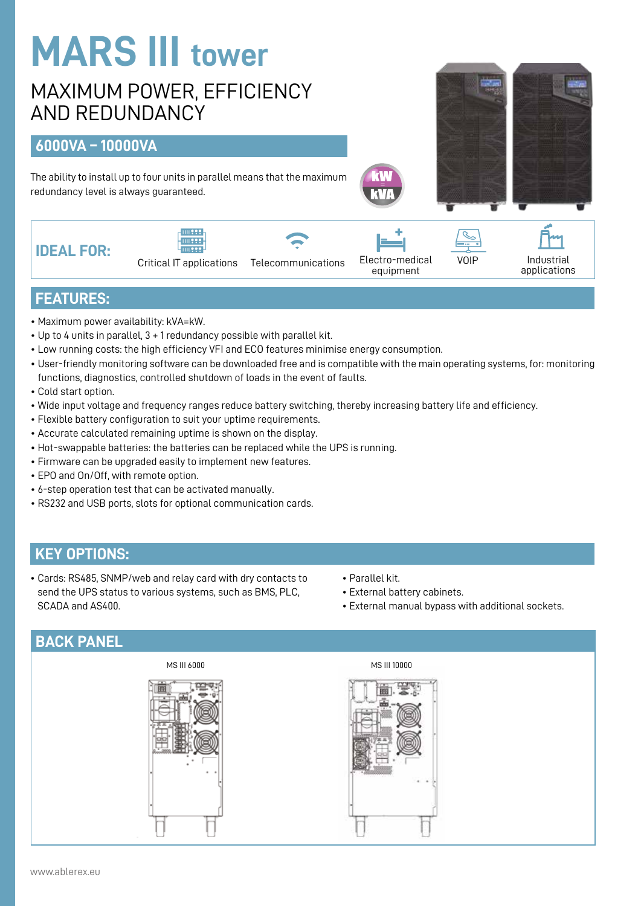# **MARS III tower**

# MAXIMUM POWER, EFFICIENCY AND REDUNDANCY

## **6000VA – 10000VA**

The ability to install up to four units in parallel means that the maximum redundancy level is always guaranteed.







Critical IT applications Telecommunications Electro-medical VOIP<br>equipment

Industrial applications

#### **FEATURES:**

- Maximum power availability: kVA=kW.
- Up to 4 units in parallel, 3 + 1 redundancy possible with parallel kit.
- Low running costs: the high efficiency VFI and ECO features minimise energy consumption.
- User-friendly monitoring software can be downloaded free and is compatible with the main operating systems, for: monitoring functions, diagnostics, controlled shutdown of loads in the event of faults.
- Cold start option.
- Wide input voltage and frequency ranges reduce battery switching, thereby increasing battery life and efficiency.
- Flexible battery configuration to suit your uptime requirements.
- Accurate calculated remaining uptime is shown on the display.
- Hot-swappable batteries: the batteries can be replaced while the UPS is running.
- Firmware can be upgraded easily to implement new features.
- EPO and On/Off, with remote option.
- 6-step operation test that can be activated manually.
- RS232 and USB ports, slots for optional communication cards.

#### **KEY OPTIONS:**

- Cards: RS485, SNMP/web and relay card with dry contacts to send the UPS status to various systems, such as BMS, PLC, SCADA and AS400.
- Parallel kit.
- External battery cabinets.
- External manual bypass with additional sockets.

#### **BACK PANEL**





www.ablerex.eu